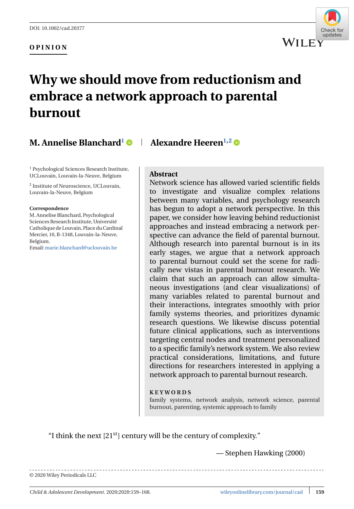### **OPINION**



# **Why we should move from reductionism and embrace a network approach to parental burnout**

# **M. Annelise Blanchard**<sup>1</sup>  $\bullet$  | Alexandre Heeren<sup>1,2</sup>  $\bullet$

<sup>1</sup> Psychological Sciences Research Institute, UCLouvain, Louvain-la-Neuve, Belgium

<sup>2</sup> Institute of Neuroscience, UCLouvain, Louvain-la-Neuve, Belgium

#### **Correspondence**

M. Annelise Blanchard, Psychological Sciences Research Institute, Université Catholique de Louvain, Place du Cardinal Mercier, 10, B-1348, Louvain-la-Neuve, Belgium.

Email:[marie.blanchard@uclouvain.be](mailto:marie.blanchard@uclouvain.be)

### **Abstract**

Network science has allowed varied scientific fields to investigate and visualize complex relations between many variables, and psychology research has begun to adopt a network perspective. In this paper, we consider how leaving behind reductionist approaches and instead embracing a network perspective can advance the field of parental burnout. Although research into parental burnout is in its early stages, we argue that a network approach to parental burnout could set the scene for radically new vistas in parental burnout research. We claim that such an approach can allow simultaneous investigations (and clear visualizations) of many variables related to parental burnout and their interactions, integrates smoothly with prior family systems theories, and prioritizes dynamic research questions. We likewise discuss potential future clinical applications, such as interventions targeting central nodes and treatment personalized to a specific family's network system. We also review practical considerations, limitations, and future directions for researchers interested in applying a network approach to parental burnout research.

#### **KEYWORDS**

family systems, network analysis, network science, parental burnout, parenting, systemic approach to family

"I think the next  $[21<sup>st</sup>]$  century will be the century of complexity."

— Stephen Hawking (2000)

© 2020 Wiley Periodicals LLC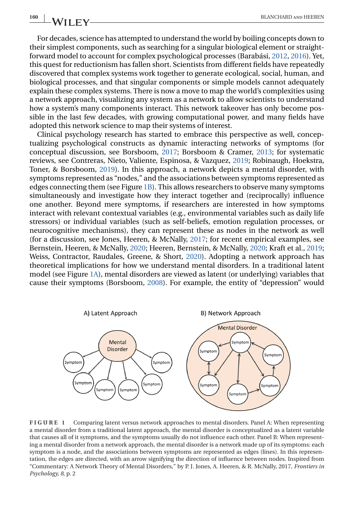<span id="page-1-0"></span>For decades, science has attempted to understand the world by boiling concepts down to their simplest components, such as searching for a singular biological element or straightforward model to account for complex psychological processes (Barabási, [2012,](#page-7-0) [2016\)](#page-7-0). Yet, this quest for reductionism has fallen short. Scientists from different fields have repeatedly discovered that complex systems work together to generate ecological, social, human, and biological processes, and that singular components or simple models cannot adequately explain these complex systems. There is now a move to map the world's complexities using a network approach, visualizing any system as a network to allow scientists to understand how a system's many components interact. This network takeover has only become possible in the last few decades, with growing computational power, and many fields have adopted this network science to map their systems of interest.

Clinical psychology research has started to embrace this perspective as well, conceptualizing psychological constructs as dynamic interacting networks of symptoms (for conceptual discussion, see Borsboom, [2017;](#page-7-0) Borsboom & Cramer, [2013;](#page-7-0) for systematic reviews, see Contreras, Nieto, Valiente, Espinosa, & Vazquez, [2019;](#page-8-0) Robinaugh, Hoekstra, Toner, & Borsboom, [2019\)](#page-9-0). In this approach, a network depicts a mental disorder, with symptoms represented as "nodes," and the associations between symptoms represented as edges connecting them (see Figure 1B). This allows researchers to observe many symptoms simultaneously and investigate how they interact together and (reciprocally) influence one another. Beyond mere symptoms, if researchers are interested in how symptoms interact with relevant contextual variables (e.g., environmental variables such as daily life stressors) or individual variables (such as self-beliefs, emotion regulation processes, or neurocognitive mechanisms), they can represent these as nodes in the network as well (for a discussion, see Jones, Heeren, & McNally, [2017;](#page-8-0) for recent empirical examples, see Bernstein, Heeren, & McNally, [2020;](#page-7-0) Heeren, Bernstein, & McNally, [2020;](#page-8-0) Kraft et al., [2019;](#page-8-0) Weiss, Contractor, Raudales, Greene, & Short, [2020\)](#page-9-0). Adopting a network approach has theoretical implications for how we understand mental disorders. In a traditional latent model (see Figure 1A), mental disorders are viewed as latent (or underlying) variables that cause their symptoms (Borsboom, [2008\)](#page-7-0). For example, the entity of "depression" would



**FIGURE 1** Comparing latent versus network approaches to mental disorders. Panel A: When representing a mental disorder from a traditional latent approach, the mental disorder is conceptualized as a latent variable that causes all of it symptoms, and the symptoms usually do not influence each other. Panel B: When representing a mental disorder from a network approach, the mental disorder is a network made up of its symptoms: each symptom is a node, and the associations between symptoms are represented as edges (lines). In this representation, the edges are directed, with an arrow signifying the direction of influence between nodes. Inspired from "Commentary: A Network Theory of Mental Disorders," by P. J. Jones, A. Heeren, & R. McNally, 2017, *Frontiers in Psychology, 8*, p. 2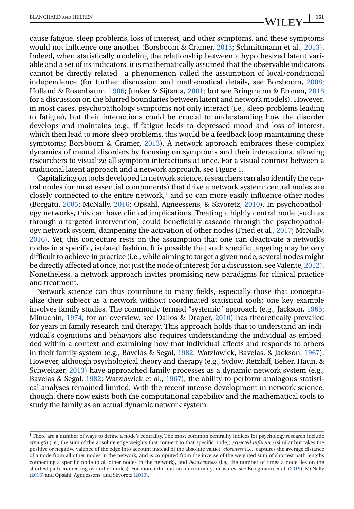cause fatigue, sleep problems, loss of interest, and other symptoms, and these symptoms would not influence one another (Borsboom & Cramer, [2013;](#page-7-0) Schmittmann et al., [2013\)](#page-9-0). Indeed, when statistically modeling the relationship between a hypothesized latent variable and a set of its indicators, it is mathematically assumed that the observable indicators cannot be directly related—a phenomenon called the assumption of local/conditional independence (for further discussion and mathematical details, see Borsboom, [2008;](#page-7-0) Holland & Rosenbaum, [1986;](#page-8-0) Junker & Sijtsma, [2001;](#page-8-0) but see Bringmann & Eronen, [2018](#page-7-0) for a discussion on the blurred boundaries between latent and network models). However, in most cases, psychopathology symptoms not only interact (i.e., sleep problems leading to fatigue), but their interactions could be crucial to understanding how the disorder develops and maintains (e.g., if fatigue leads to depressed mood and loss of interest, which then lead to more sleep problems, this would be a feedback loop maintaining these symptoms; Borsboom & Cramer, [2013\)](#page-7-0). A network approach embraces these complex dynamics of mental disorders by focusing on symptoms and their interactions, allowing researchers to visualize all symptom interactions at once. For a visual contrast between a traditional latent approach and a network approach, see Figure [1.](#page-1-0)

Capitalizing on tools developed in network science, researchers can also identify the central nodes (or most essential components) that drive a network system: central nodes are closely connected to the entire network, $<sup>1</sup>$  and so can more easily influence other nodes</sup> (Borgatti, [2005;](#page-7-0) McNally, [2016;](#page-9-0) Opsahl, Agneessens, & Skvoretz, [2010\)](#page-9-0). In psychopathology networks, this can have clinical implications. Treating a highly central node (such as through a targeted intervention) could beneficially cascade through the psychopathology network system, dampening the activation of other nodes (Fried et al., [2017;](#page-8-0) McNally, [2016\)](#page-9-0). Yet, this conjecture rests on the assumption that one can deactivate a network's nodes in a specific, isolated fashion. It is possible that such specific targeting may be very difficult to achieve in practice (i.e., while aiming to target a given node, several nodes might be directly affected at once, not just the node of interest; for a discussion, see Valente, [2012\)](#page-9-0). Nonetheless, a network approach invites promising new paradigms for clinical practice and treatment.

Network science can thus contribute to many fields, especially those that conceptualize their subject as a network without coordinated statistical tools; one key example involves family studies. The commonly termed "systemic" approach (e.g., Jackson, [1965;](#page-8-0) Minuchin, [1974;](#page-9-0) for an overview, see Dallos & Draper, [2010\)](#page-8-0) has theoretically prevailed for years in family research and therapy. This approach holds that to understand an individual's cognitions and behaviors also requires understanding the individual as embedded within a context and examining how that individual affects and responds to others in their family system (e.g., Bavelas & Segal, [1982;](#page-7-0) Watzlawick, Bavelas, & Jackson, [1967\)](#page-9-0). However, although psychological theory and therapy (e.g., Sydow, Retzlaff, Beher, Haun, & Schweitzer, [2013\)](#page-9-0) have approached family processes as a dynamic network system (e.g., Bavelas & Segal, [1982;](#page-7-0) Watzlawick et al., [1967\)](#page-9-0), the ability to perform analogous statistical analyses remained limited. With the recent intense development in network science, though, there now exists both the computational capability and the mathematical tools to study the family as an actual dynamic network system.

<sup>&</sup>lt;sup>1</sup> There are a number of ways to define a node's centrality. The most common centrality indices for psychology research include *strength* (i.e., the sum of the absolute edge weights that connect to that specific node), *expected influence* (similar but takes the positive or negative valence of the edge into account instead of the absolute value), *closeness* (i.e., captures the average distance of a node from all other nodes in the network, and is computed from the inverse of the weighted sum of shortest path lengths connecting a specific node to all other nodes in the network), and *betweenness* (i.e., the number of times a node lies on the shortest path connecting two other nodes). For more information on centrality measures, see Bringmann et al. [\(2019\)](#page-7-0), McNally [\(2016\)](#page-9-0) and Opsahl, Agneessens, and Skvoretz [\(2010\)](#page-9-0).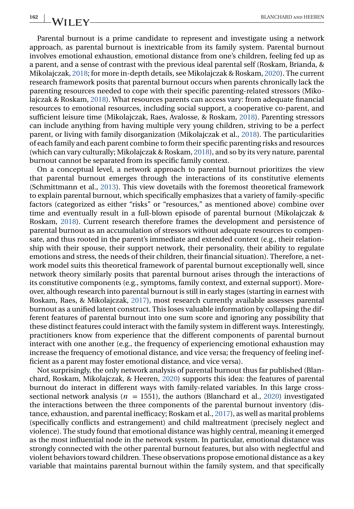Parental burnout is a prime candidate to represent and investigate using a network approach, as parental burnout is inextricable from its family system. Parental burnout involves emotional exhaustion, emotional distance from one's children, feeling fed up as a parent, and a sense of contrast with the previous ideal parental self (Roskam, Brianda, & Mikolajczak, [2018;](#page-9-0) for more in-depth details, see Mikolajczak & Roskam, [2020\)](#page-9-0). The current research framework posits that parental burnout occurs when parents chronically lack the parenting resources needed to cope with their specific parenting-related stressors (Mikolajczak & Roskam, [2018\)](#page-9-0). What resources parents can access vary: from adequate financial resources to emotional resources, including social support, a cooperative co-parent, and sufficient leisure time (Mikolajczak, Raes, Avalosse, & Roskam, [2018\)](#page-9-0). Parenting stressors can include anything from having multiple very young children, striving to be a perfect parent, or living with family disorganization (Mikolajczak et al., [2018\)](#page-9-0). The particularities of each family and each parent combine to form their specific parenting risks and resources (which can vary culturally; Mikolajczak & Roskam, [2018\)](#page-9-0), and so by its very nature, parental burnout cannot be separated from its specific family context.

On a conceptual level, a network approach to parental burnout prioritizes the view that parental burnout emerges through the interactions of its constitutive elements (Schmittmann et al., [2013\)](#page-9-0). This view dovetails with the foremost theoretical framework to explain parental burnout, which specifically emphasizes that a variety of family-specific factors (categorized as either "risks" or "resources," as mentioned above) combine over time and eventually result in a full-blown episode of parental burnout (Mikolajczak & Roskam, [2018\)](#page-9-0). Current research therefore frames the development and persistence of parental burnout as an accumulation of stressors without adequate resources to compensate, and thus rooted in the parent's immediate and extended context (e.g., their relationship with their spouse, their support network, their personality, their ability to regulate emotions and stress, the needs of their children, their financial situation). Therefore, a network model suits this theoretical framework of parental burnout exceptionally well, since network theory similarly posits that parental burnout arises through the interactions of its constitutive components (e.g., symptoms, family context, and external support). Moreover, although research into parental burnout is still in early stages (starting in earnest with Roskam, Raes, & Mikolajczak, [2017\)](#page-9-0), most research currently available assesses parental burnout as a unified latent construct. This loses valuable information by collapsing the different features of parental burnout into one sum score and ignoring any possibility that these distinct features could interact with the family system in different ways. Interestingly, practitioners know from experience that the different components of parental burnout interact with one another (e.g., the frequency of experiencing emotional exhaustion may increase the frequency of emotional distance, and vice versa; the frequency of feeling inefficient as a parent may foster emotional distance, and vice versa).

Not surprisingly, the only network analysis of parental burnout thus far published (Blanchard, Roskam, Mikolajczak, & Heeren, [2020\)](#page-7-0) supports this idea: the features of parental burnout do interact in different ways with family-related variables. In this large crosssectional network analysis ( $n = 1551$ ), the authors (Blanchard et al., [2020\)](#page-7-0) investigated the interactions between the three components of the parental burnout inventory (distance, exhaustion, and parental inefficacy; Roskam et al., [2017\)](#page-9-0), as well as marital problems (specifically conflicts and estrangement) and child maltreatment (precisely neglect and violence). The study found that emotional distance was highly central, meaning it emerged as the most influential node in the network system. In particular, emotional distance was strongly connected with the other parental burnout features, but also with neglectful and violent behaviors toward children. These observations propose emotional distance as a key variable that maintains parental burnout within the family system, and that specifically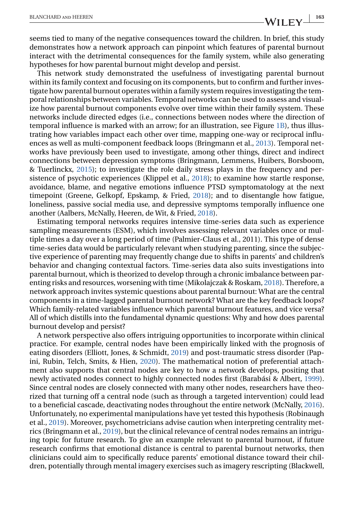seems tied to many of the negative consequences toward the children. In brief, this study demonstrates how a network approach can pinpoint which features of parental burnout interact with the detrimental consequences for the family system, while also generating hypotheses for how parental burnout might develop and persist.

This network study demonstrated the usefulness of investigating parental burnout within its family context and focusing on its components, but to confirm and further investigate how parental burnout operates within a family system requires investigating the temporal relationships between variables. Temporal networks can be used to assess and visualize how parental burnout components evolve over time within their family system. These networks include directed edges (i.e., connections between nodes where the direction of temporal influence is marked with an arrow; for an illustration, see Figure [1B\)](#page-1-0), thus illustrating how variables impact each other over time, mapping one-way or reciprocal influences as well as multi-component feedback loops (Bringmann et al., [2013\)](#page-8-0). Temporal networks have previously been used to investigate, among other things, direct and indirect connections between depression symptoms (Bringmann, Lemmens, Huibers, Borsboom, & Tuerlinckx, [2015\)](#page-7-0); to investigate the role daily stress plays in the frequency and persistence of psychotic experiences (Klippel et al., [2018\)](#page-8-0); to examine how startle response, avoidance, blame, and negative emotions influence PTSD symptomatology at the next timepoint (Greene, Gelkopf, Epskamp, & Fried, [2018\)](#page-8-0); and to disentangle how fatigue, loneliness, passive social media use, and depressive symptoms temporally influence one another (Aalbers, McNally, Heeren, de Wit, & Fried, [2018\)](#page-7-0).

Estimating temporal networks requires intensive time-series data such as experience sampling measurements (ESM), which involves assessing relevant variables once or multiple times a day over a long period of time (Palmier-Claus et al., 2011). This type of dense time-series data would be particularly relevant when studying parenting, since the subjective experience of parenting may frequently change due to shifts in parents' and children's behavior and changing contextual factors. Time-series data also suits investigations into parental burnout, which is theorized to develop through a chronic imbalance between parenting risks and resources, worsening with time (Mikolajczak & Roskam, [2018\)](#page-9-0). Therefore, a network approach invites systemic questions about parental burnout: What are the central components in a time-lagged parental burnout network? What are the key feedback loops? Which family-related variables influence which parental burnout features, and vice versa? All of which distills into the fundamental dynamic questions: Why and how does parental burnout develop and persist?

A network perspective also offers intriguing opportunities to incorporate within clinical practice. For example, central nodes have been empirically linked with the prognosis of eating disorders (Elliott, Jones, & Schmidt, [2019\)](#page-8-0) and post-traumatic stress disorder (Papini, Rubin, Telch, Smits, & Hien, [2020\)](#page-9-0). The mathematical notion of preferential attachment also supports that central nodes are key to how a network develops, positing that newly activated nodes connect to highly connected nodes first (Barabási & Albert, [1999\)](#page-7-0). Since central nodes are closely connected with many other nodes, researchers have theorized that turning off a central node (such as through a targeted intervention) could lead to a beneficial cascade, deactivating nodes throughout the entire network (McNally, [2016\)](#page-9-0). Unfortunately, no experimental manipulations have yet tested this hypothesis (Robinaugh et al., [2019\)](#page-9-0). Moreover, psychometricians advise caution when interpreting centrality metrics (Bringmann et al., [2019\)](#page-7-0), but the clinical relevance of central nodes remains an intriguing topic for future research. To give an example relevant to parental burnout, if future research confirms that emotional distance is central to parental burnout networks, then clinicians could aim to specifically reduce parents' emotional distance toward their children, potentially through mental imagery exercises such as imagery rescripting (Blackwell,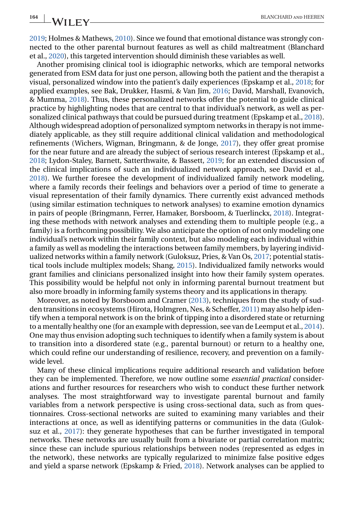[2019;](#page-7-0) Holmes & Mathews, [2010\)](#page-8-0). Since we found that emotional distance was strongly connected to the other parental burnout features as well as child maltreatment (Blanchard et al., [2020\)](#page-7-0), this targeted intervention should diminish these variables as well.

Another promising clinical tool is idiographic networks, which are temporal networks generated from ESM data for just one person, allowing both the patient and the therapist a visual, personalized window into the patient's daily experiences (Epskamp et al., [2018;](#page-8-0) for applied examples, see Bak, Drukker, Hasmi, & Van Jim, [2016;](#page-7-0) David, Marshall, Evanovich, & Mumma, [2018\)](#page-8-0). Thus, these personalized networks offer the potential to guide clinical practice by highlighting nodes that are central to that individual's network, as well as personalized clinical pathways that could be pursued during treatment (Epskamp et al., [2018\)](#page-8-0). Although widespread adoption of personalized symptom networks in therapy is not immediately applicable, as they still require additional clinical validation and methodological refinements (Wichers, Wigman, Bringmann, & de Jonge, [2017\)](#page-9-0), they offer great promise for the near future and are already the subject of serious research interest (Epskamp et al., [2018;](#page-8-0) Lydon-Staley, Barnett, Satterthwaite, & Bassett, [2019;](#page-9-0) for an extended discussion of the clinical implications of such an individualized network approach, see David et al., [2018\)](#page-8-0). We further foresee the development of individualized family network modeling, where a family records their feelings and behaviors over a period of time to generate a visual representation of their family dynamics. There currently exist advanced methods (using similar estimation techniques to network analyses) to examine emotion dynamics in pairs of people (Bringmann, Ferrer, Hamaker, Borsboom, & Tuerlinckx, [2018\)](#page-7-0). Integrating these methods with network analyses and extending them to multiple people (e.g., a family) is a forthcoming possibility. We also anticipate the option of not only modeling one individual's network within their family context, but also modeling each individual within a family as well as modeling the interactions between family members, by layering individualized networks within a family network (Guloksuz, Pries, & Van Os, [2017;](#page-8-0) potential statistical tools include multiplex models; Shang, [2015\)](#page-9-0). Individualized family networks would grant families and clinicians personalized insight into how their family system operates. This possibility would be helpful not only in informing parental burnout treatment but also more broadly in informing family systems theory and its applications in therapy.

Moreover, as noted by Borsboom and Cramer [\(2013\)](#page-7-0), techniques from the study of sudden transitions in ecosystems (Hirota, Holmgren, Nes, & Scheffer, [2011\)](#page-8-0) may also help identify when a temporal network is on the brink of tipping into a disordered state or returning to a mentally healthy one (for an example with depression, see van de Leemput et al., [2014\)](#page-9-0). One may thus envision adopting such techniques to identify when a family system is about to transition into a disordered state (e.g., parental burnout) or return to a healthy one, which could refine our understanding of resilience, recovery, and prevention on a familywide level.

Many of these clinical implications require additional research and validation before they can be implemented. Therefore, we now outline some *essential practical* considerations and further resources for researchers who wish to conduct these further network analyses. The most straightforward way to investigate parental burnout and family variables from a network perspective is using cross-sectional data, such as from questionnaires. Cross-sectional networks are suited to examining many variables and their interactions at once, as well as identifying patterns or communities in the data (Guloksuz et al., [2017\)](#page-8-0): they generate hypotheses that can be further investigated in temporal networks. These networks are usually built from a bivariate or partial correlation matrix; since these can include spurious relationships between nodes (represented as edges in the network), these networks are typically regularized to minimize false positive edges and yield a sparse network (Epskamp & Fried, [2018\)](#page-8-0). Network analyses can be applied to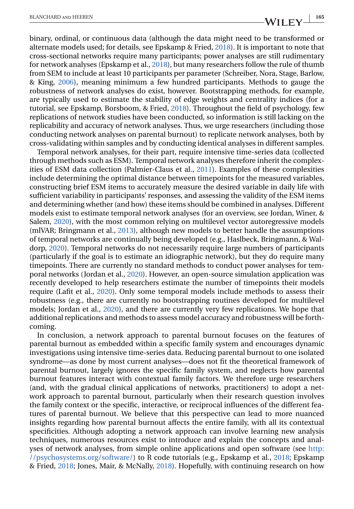binary, ordinal, or continuous data (although the data might need to be transformed or alternate models used; for details, see Epskamp & Fried, [2018\)](#page-8-0). It is important to note that cross-sectional networks require many participants; power analyses are still rudimentary for network analyses (Epskamp et al., [2018\)](#page-8-0), but many researchers follow the rule of thumb from SEM to include at least 10 participants per parameter (Schreiber, Nora, Stage, Barlow, & King, [2006\)](#page-9-0), meaning minimum a few hundred participants. Methods to gauge the robustness of network analyses do exist, however. Bootstrapping methods, for example, are typically used to estimate the stability of edge weights and centrality indices (for a tutorial, see Epskamp, Borsboom, & Fried, [2018\)](#page-8-0). Throughout the field of psychology, few replications of network studies have been conducted, so information is still lacking on the replicability and accuracy of network analyses. Thus, we urge researchers (including those conducting network analyses on parental burnout) to replicate network analyses, both by cross-validating within samples and by conducting identical analyses in different samples.

Temporal network analyses, for their part, require intensive time-series data (collected through methods such as ESM). Temporal network analyses therefore inherit the complexities of ESM data collection (Palmier-Claus et al., [2011\)](#page-9-0). Examples of these complexities include determining the optimal distance between timepoints for the measured variables, constructing brief ESM items to accurately measure the desired variable in daily life with sufficient variability in participants' responses, and assessing the validity of the ESM items and determining whether (and how) these items should be combined in analyses. Different models exist to estimate temporal network analyses (for an overview, see Jordan, Winer, & Salem, [2020\)](#page-8-0), with the most common relying on multilevel vector autoregressive models (mlVAR; Bringmann et al., [2013\)](#page-8-0), although new models to better handle the assumptions of temporal networks are continually being developed (e.g., Haslbeck, Bringmann, & Waldorp, [2020\)](#page-8-0). Temporal networks do not necessarily require large numbers of participants (particularly if the goal is to estimate an idiographic network), but they do require many timepoints. There are currently no standard methods to conduct power analyses for temporal networks (Jordan et al., [2020\)](#page-8-0). However, an open-source simulation application was recently developed to help researchers estimate the number of timepoints their models require (Lafit et al., [2020\)](#page-8-0). Only some temporal models include methods to assess their robustness (e.g., there are currently no bootstrapping routines developed for multilevel models; Jordan et al., [2020\)](#page-8-0), and there are currently very few replications. We hope that additional replications and methods to assess model accuracy and robustness will be forthcoming.

In conclusion, a network approach to parental burnout focuses on the features of parental burnout as embedded within a specific family system and encourages dynamic investigations using intensive time-series data. Reducing parental burnout to one isolated syndrome—as done by most current analyses—does not fit the theoretical framework of parental burnout, largely ignores the specific family system, and neglects how parental burnout features interact with contextual family factors. We therefore urge researchers (and, with the gradual clinical applications of networks, practitioners) to adopt a network approach to parental burnout, particularly when their research question involves the family context or the specific, interactive, or reciprocal influences of the different features of parental burnout. We believe that this perspective can lead to more nuanced insights regarding how parental burnout affects the entire family, with all its contextual specificities. Although adopting a network approach can involve learning new analysis techniques, numerous resources exist to introduce and explain the concepts and analyses of network analyses, from simple online applications and open software (see [http:](http://psychosystems.org/software/) [//psychosystems.org/software/\)](http://psychosystems.org/software/) to R code tutorials (e.g., Epskamp et al., [2018;](#page-8-0) Epskamp & Fried, [2018;](#page-8-0) Jones, Mair, & McNally, [2018\)](#page-8-0). Hopefully, with continuing research on how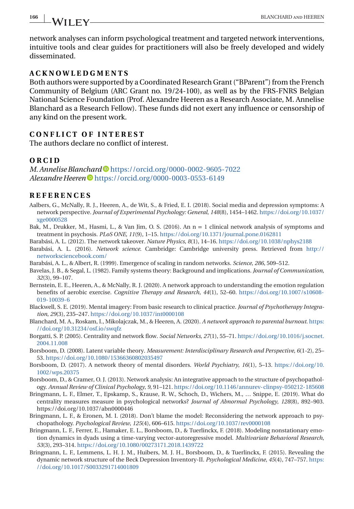# <span id="page-7-0"></span>**166 BLANCHARD AND HEEREN**

network analyses can inform psychological treatment and targeted network interventions, intuitive tools and clear guides for practitioners will also be freely developed and widely disseminated.

# **ACKNOWLEDGMENTS**

Both authors were supported by a Coordinated Research Grant ("BParent") from the French Community of Belgium (ARC Grant no. 19/24-100), as well as by the FRS-FNRS Belgian National Science Foundation (Prof. Alexandre Heeren as a Research Associate, M. Annelise Blanchard as a Research Fellow). These funds did not exert any influence or censorship of any kind on the present work.

# **CONFLICT OF INTEREST**

The authors declare no conflict of interest.

## **ORCID**

*M. Annelise Blanchard* <https://orcid.org/0000-0002-9605-7022> *Alexandre Heeren* **I** <https://orcid.org/0000-0003-0553-6149>

# **REFERENCES**

- Aalbers, G., McNally, R. J., Heeren, A., de Wit, S., & Fried, E. I. (2018). Social media and depression symptoms: A network perspective. *Journal of Experimental Psychology: General*, *148*(8), 1454–1462. [https://doi.org/10.1037/](https://doi.org/10.1037/xge0000528) [xge0000528](https://doi.org/10.1037/xge0000528)
- Bak, M., Drukker, M., Hasmi, L., & Van Jim, O. S. (2016). An n = 1 clinical network analysis of symptoms and treatment in psychosis. *PLoS ONE*, *11*(9), 1–15. <https://doi.org/10.1371/journal.pone.0162811>
- Barabási, A. L. (2012). The network takeover. *Nature Physics*, *8*(1), 14–16. <https://doi.org/10.1038/nphys2188>
- Barabási, A. L. (2016). *Network science*. Cambridge: Cambridge university press. Retrieved from [http://](http://networksciencebook.com/) [networksciencebook.com/](http://networksciencebook.com/)
- Barabási, A. L., & Albert, R. (1999). Emergence of scaling in random networks. *Science*, *286*, 509–512.
- Bavelas, J. B., & Segal, L. (1982). Family systems theory: Background and implications. *Journal of Communication*, *32*(3), 99–107.
- Bernstein, E. E., Heeren, A., & McNally, R. J. (2020). A network approach to understanding the emotion regulation benefits of aerobic exercise. *Cognitive Therapy and Research*, *44*(1), 52–60. [https://doi.org/10.1007/s10608-](https://doi.org/10.1007/s10608-019-10039-6) [019-10039-6](https://doi.org/10.1007/s10608-019-10039-6)
- Blackwell, S. E. (2019). Mental imagery: From basic research to clinical practice. *Journal of Psychotherapy Integration*, *29*(3), 235–247. <https://doi.org/10.1037/int0000108>
- Blanchard, M. A., Roskam, I., Mikolajczak, M., & Heeren, A. (2020). *A network approach to parental burnout*. [https:](https://doi.org/10.31234/osf.io/swqfz) [//doi.org/10.31234/osf.io/swqfz](https://doi.org/10.31234/osf.io/swqfz)
- Borgatti, S. P. (2005). Centrality and network flow. *Social Networks*, *27*(1), 55–71. [https://doi.org/10.1016/j.socnet.](https://doi.org/10.1016/j.socnet.2004.11.008) [2004.11.008](https://doi.org/10.1016/j.socnet.2004.11.008)
- Borsboom, D. (2008). Latent variable theory. *Measurement: Interdisciplinary Research and Perspective*, *6*(1-2), 25– 53. <https://doi.org/10.1080/15366360802035497>
- Borsboom, D. (2017). A network theory of mental disorders. *World Psychiatry*, *16*(1), 5–13. [https://doi.org/10.](https://doi.org/10.1002/wps.20375) [1002/wps.20375](https://doi.org/10.1002/wps.20375)
- Borsboom, D., & Cramer, O. J. (2013). Network analysis: An integrative approach to the structure of psychopathology. *Annual Review of Clinical Psychology*, *9*, 91–121. <https://doi.org/10.1146/annurev-clinpsy-050212-185608>
- Bringmann, L. F., Elmer, T., Epskamp, S., Krause, R. W., Schoch, D., Wichers, M., … Snippe, E. (2019). What do centrality measures measure in psychological networks? *Journal of Abnormal Psychology*, *128*(8), 892–903. https://doi.org/10.1037/abn0000446
- Bringmann, L. F., & Eronen, M. I. (2018). Don't blame the model: Reconsidering the network approach to psychopathology. *Psychological Review*, *125*(4), 606–615. <https://doi.org/10.1037/rev0000108>
- Bringmann, L. F., Ferrer, E., Hamaker, E. L., Borsboom, D., & Tuerlinckx, F. (2018). Modeling nonstationary emotion dynamics in dyads using a time-varying vector-autoregressive model. *Multivariate Behavioral Research*, *53*(3), 293–314. <https://doi.org/10.1080/00273171.2018.1439722>
- Bringmann, L. F., Lemmens, L. H. J. M., Huibers, M. J. H., Borsboom, D., & Tuerlinckx, F. (2015). Revealing the dynamic network structure of the Beck Depression Inventory-II. *Psychological Medicine*, *45*(4), 747–757. [https:](https://doi.org/10.1017/S0033291714001809) [//doi.org/10.1017/S0033291714001809](https://doi.org/10.1017/S0033291714001809)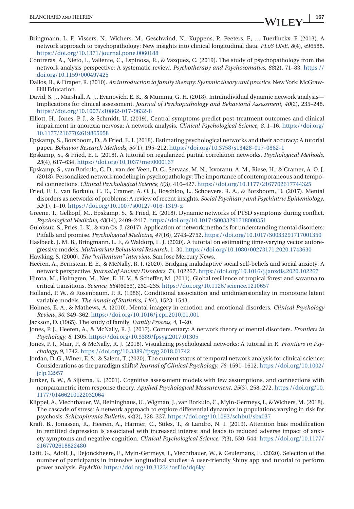- <span id="page-8-0"></span>Bringmann, L. F., Vissers, N., Wichers, M., Geschwind, N., Kuppens, P., Peeters, F., … Tuerlinckx, F. (2013). A network approach to psychopathology: New insights into clinical longitudinal data. *PLoS ONE*, *8*(4), e96588. <https://doi.org/10.1371/journal.pone.0060188>
- Contreras, A., Nieto, I., Valiente, C., Espinosa, R., & Vazquez, C. (2019). The study of psychopathology from the network analysis perspective: A systematic review. *Psychotherapy and Psychosomatics*, *88*(2), 71–83. [https://](https://doi.org/10.1159/000497425) [doi.org/10.1159/000497425](https://doi.org/10.1159/000497425)
- Dallos, R., & Draper, R. (2010). *An introduction to family therapy: Systemic theory and practice*. New York: McGraw-Hill Education.
- David, S. J., Marshall, A. J., Evanovich, E. K., & Mumma, G. H. (2018). Intraindividual dynamic network analysis— Implications for clinical assessment. *Journal of Psychopathology and Behavioral Assessment*, *40*(2), 235–248. <https://doi.org/10.1007/s10862-017-9632-8>
- Elliott, H., Jones, P. J., & Schmidt, U. (2019). Central symptoms predict post-treatment outcomes and clinical impairment in anorexia nervosa: A network analysis. *Clinical Psychological Science*, *8*, 1–16. [https://doi.org/](https://doi.org/10.1177/2167702619865958) [10.1177/2167702619865958](https://doi.org/10.1177/2167702619865958)
- Epskamp, S., Borsboom, D., & Fried, E. I. (2018). Estimating psychological networks and their accuracy: A tutorial paper. *Behavior Research Methods*, *50*(1), 195–212. <https://doi.org/10.3758/s13428-017-0862-1>
- Epskamp, S., & Fried, E. I. (2018). A tutorial on regularized partial correlation networks. *Psychological Methods*, *23*(4), 617–634. <https://doi.org/10.1037/met0000167>
- Epskamp, S., van Borkulo, C. D., van der Veen, D. C., Servaas, M. N., Isvoranu, A. M., Riese, H., & Cramer, A. O. J. (2018). Personalized network modeling in psychopathology: The importance of contemporaneous and temporal connections. *Clinical Psychological Science*, *6*(3), 416–427. <https://doi.org/10.1177/2167702617744325>
- Fried, E. I., van Borkulo, C. D., Cramer, A. O. J., Boschloo, L., Schoevers, R. A., & Borsboom, D. (2017). Mental disorders as networks of problems: A review of recent insights. *Social Psychiatry and Psychiatric Epidemiology*, *52*(1), 1–10. <https://doi.org/10.1007/s00127-016-1319-z>
- Greene, T., Gelkopf, M., Epskamp, S., & Fried, E. (2018). Dynamic networks of PTSD symptoms during conflict. *Psychological Medicine*, *48*(14), 2409–2417. <https://doi.org/10.1017/S0033291718000351>
- Guloksuz, S., Pries, L. K., & van Os, J. (2017). Application of network methods for understanding mental disorders: Pitfalls and promise. *Psychological Medicine*, *47*(16), 2743–2752. <https://doi.org/10.1017/S0033291717001350>
- Haslbeck, J. M. B., Bringmann, L. F., & Waldorp, L. J. (2020). A tutorial on estimating time-varying vector autoregressive models. *Multivariate Behavioral Research*, 1–30. <https://doi.org/10.1080/00273171.2020.1743630>
- Hawking, S. (2000). *The "millenium" interview*. San Jose Mercury News.
- Heeren, A., Bernstein, E. E., & McNally, R. J. (2020). Bridging maladaptive social self-beliefs and social anxiety: A network perspective. *Journal of Anxiety Disorders*, *74*, 102267. <https://doi.org/10.1016/j.janxdis.2020.102267>
- Hirota, M., Holmgren, M., Nes, E. H. V., & Scheffer, M. (2011). Global resilience of tropical forest and savanna to critical transitions. *Science*, *334*(6053), 232–235. <https://doi.org/10.1126/science.1210657>
- Holland, P. W., & Rosenbaum, P. R. (1986). Conditional association and unidimensionality in monotone latent variable models. *The Annals of Statistics*, *14*(4), 1523–1543.
- Holmes, E. A., & Mathews, A. (2010). Mental imagery in emotion and emotional disorders. *Clinical Psychology Review*, *30*, 349–362. <https://doi.org/10.1016/j.cpr.2010.01.001>
- Jackson, D. (1965). The study of family. *Family Process*, *4*, 1–20.
- Jones, P. J., Heeren, A., & McNally, R. J. (2017). Commentary: A network theory of mental disorders. *Frontiers in Psychology*, *8*, 1305. <https://doi.org/10.3389/fpsyg.2017.01305>
- Jones, P. J., Mair, P., & McNally, R. J. (2018). Visualizing psychological networks: A tutorial in R. *Frontiers in Psychology*, *9*, 1742. <https://doi.org/10.3389/fpsyg.2018.01742>
- Jordan, D. G., Winer, E. S., & Salem, T. (2020). The current status of temporal network analysis for clinical science: Considerations as the paradigm shifts? *Journal of Clinical Psychology*, *76*, 1591–1612. [https://doi.org/10.1002/](https://doi.org/10.1002/jclp.22957) [jclp.22957](https://doi.org/10.1002/jclp.22957)
- Junker, B. W., & Sijtsma, K. (2001). Cognitive assessment models with few assumptions, and connections with nonparametric item response theory. *Applied Psychological Measurement*, *25*(3), 258–272. [https://doi.org/10.](https://doi.org/10.1177/01466210122032064) [1177/01466210122032064](https://doi.org/10.1177/01466210122032064)
- Klippel, A., Viechtbauer, W., Reininghaus, U., Wigman, J., van Borkulo, C., Myin-Germeys, I., & Wichers, M. (2018). The cascade of stress: A network approach to explore differential dynamics in populations varying in risk for psychosis. *Schizophrenia Bulletin*, *44*(2), 328–337. <https://doi.org/10.1093/schbul/sbx037>
- Kraft, B., Jonassen, R., Heeren, A., Harmer, C., Stiles, T., & Landrø, N. I. (2019). Attention bias modification in remitted depression is associated with increased interest and leads to reduced adverse impact of anxiety symptoms and negative cognition. *Clinical Psychological Science*, *7*(3), 530–544. [https://doi.org/10.1177/](https://doi.org/10.1177/2167702618822480) [2167702618822480](https://doi.org/10.1177/2167702618822480)
- Lafit, G., Adolf, J., Dejonckheere, E., Myin-Germeys, I., Viechtbauer, W., & Ceulemans, E. (2020). Selection of the number of participants in intensive longitudinal studies: A user-friendly Shiny app and tutorial to perform power analysis. *PsyArXiv*. <https://doi.org/10.31234/osf.io/dq6ky>